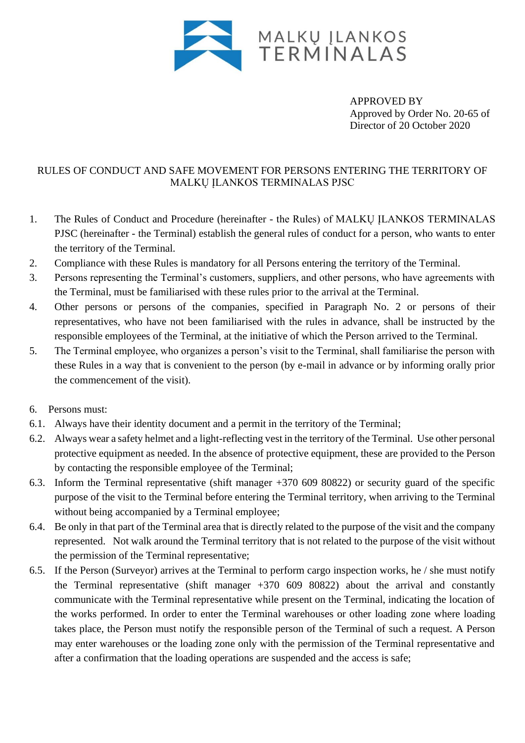

APPROVED BY Approved by Order No. 20-65 of Director of 20 October 2020

## RULES OF CONDUCT AND SAFE MOVEMENT FOR PERSONS ENTERING THE TERRITORY OF MALKŲ ĮLANKOS TERMINALAS PJSC

- 1. The Rules of Conduct and Procedure (hereinafter the Rules) of MALKŲ ĮLANKOS TERMINALAS PJSC (hereinafter - the Terminal) establish the general rules of conduct for a person, who wants to enter the territory of the Terminal.
- 2. Compliance with these Rules is mandatory for all Persons entering the territory of the Terminal.
- 3. Persons representing the Terminal's customers, suppliers, and other persons, who have agreements with the Terminal, must be familiarised with these rules prior to the arrival at the Terminal.
- 4. Other persons or persons of the companies, specified in Paragraph No. 2 or persons of their representatives, who have not been familiarised with the rules in advance, shall be instructed by the responsible employees of the Terminal, at the initiative of which the Person arrived to the Terminal.
- 5. The Terminal employee, who organizes a person's visit to the Terminal, shall familiarise the person with these Rules in a way that is convenient to the person (by e-mail in advance or by informing orally prior the commencement of the visit).
- 6. Persons must:
- 6.1. Always have their identity document and a permit in the territory of the Terminal;
- 6.2. Always wear a safety helmet and a light-reflecting vest in the territory of the Terminal. Use other personal protective equipment as needed. In the absence of protective equipment, these are provided to the Person by contacting the responsible employee of the Terminal;
- 6.3. Inform the Terminal representative (shift manager +370 609 80822) or security guard of the specific purpose of the visit to the Terminal before entering the Terminal territory, when arriving to the Terminal without being accompanied by a Terminal employee;
- 6.4. Be only in that part of the Terminal area that is directly related to the purpose of the visit and the company represented. Not walk around the Terminal territory that is not related to the purpose of the visit without the permission of the Terminal representative;
- 6.5. If the Person (Surveyor) arrives at the Terminal to perform cargo inspection works, he / she must notify the Terminal representative (shift manager  $+370$  609 80822) about the arrival and constantly communicate with the Terminal representative while present on the Terminal, indicating the location of the works performed. In order to enter the Terminal warehouses or other loading zone where loading takes place, the Person must notify the responsible person of the Terminal of such a request. A Person may enter warehouses or the loading zone only with the permission of the Terminal representative and after a confirmation that the loading operations are suspended and the access is safe;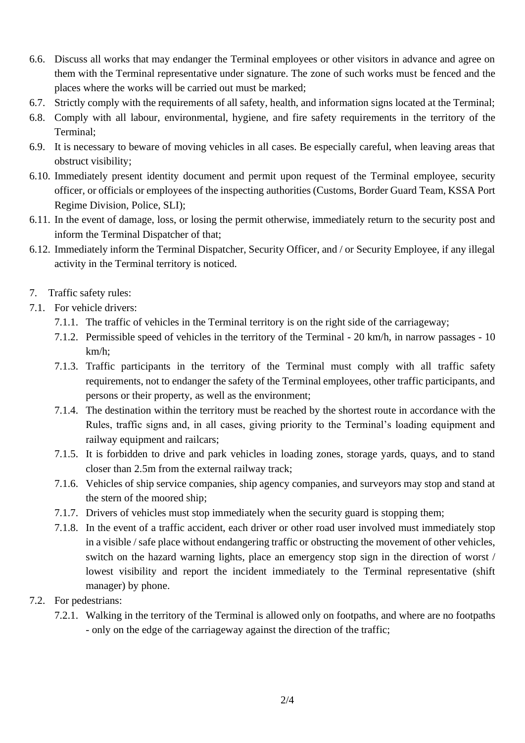- 6.6. Discuss all works that may endanger the Terminal employees or other visitors in advance and agree on them with the Terminal representative under signature. The zone of such works must be fenced and the places where the works will be carried out must be marked;
- 6.7. Strictly comply with the requirements of all safety, health, and information signs located at the Terminal;
- 6.8. Comply with all labour, environmental, hygiene, and fire safety requirements in the territory of the Terminal;
- 6.9. It is necessary to beware of moving vehicles in all cases. Be especially careful, when leaving areas that obstruct visibility;
- 6.10. Immediately present identity document and permit upon request of the Terminal employee, security officer, or officials or employees of the inspecting authorities (Customs, Border Guard Team, KSSA Port Regime Division, Police, SLI);
- 6.11. In the event of damage, loss, or losing the permit otherwise, immediately return to the security post and inform the Terminal Dispatcher of that;
- 6.12. Immediately inform the Terminal Dispatcher, Security Officer, and / or Security Employee, if any illegal activity in the Terminal territory is noticed.
- 7. Traffic safety rules:
- 7.1. For vehicle drivers:
	- 7.1.1. The traffic of vehicles in the Terminal territory is on the right side of the carriageway;
	- 7.1.2. Permissible speed of vehicles in the territory of the Terminal 20 km/h, in narrow passages 10 km/h;
	- 7.1.3. Traffic participants in the territory of the Terminal must comply with all traffic safety requirements, not to endanger the safety of the Terminal employees, other traffic participants, and persons or their property, as well as the environment;
	- 7.1.4. The destination within the territory must be reached by the shortest route in accordance with the Rules, traffic signs and, in all cases, giving priority to the Terminal's loading equipment and railway equipment and railcars;
	- 7.1.5. It is forbidden to drive and park vehicles in loading zones, storage yards, quays, and to stand closer than 2.5m from the external railway track;
	- 7.1.6. Vehicles of ship service companies, ship agency companies, and surveyors may stop and stand at the stern of the moored ship;
	- 7.1.7. Drivers of vehicles must stop immediately when the security guard is stopping them;
	- 7.1.8. In the event of a traffic accident, each driver or other road user involved must immediately stop in a visible / safe place without endangering traffic or obstructing the movement of other vehicles, switch on the hazard warning lights, place an emergency stop sign in the direction of worst / lowest visibility and report the incident immediately to the Terminal representative (shift manager) by phone.
- 7.2. For pedestrians:
	- 7.2.1. Walking in the territory of the Terminal is allowed only on footpaths, and where are no footpaths - only on the edge of the carriageway against the direction of the traffic;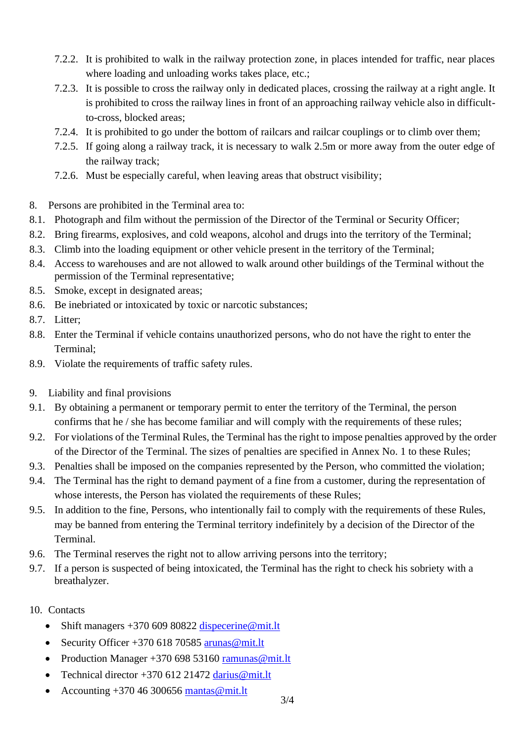- 7.2.2. It is prohibited to walk in the railway protection zone, in places intended for traffic, near places where loading and unloading works takes place, etc.;
- 7.2.3. It is possible to cross the railway only in dedicated places, crossing the railway at a right angle. It is prohibited to cross the railway lines in front of an approaching railway vehicle also in difficultto-cross, blocked areas;
- 7.2.4. It is prohibited to go under the bottom of railcars and railcar couplings or to climb over them;
- 7.2.5. If going along a railway track, it is necessary to walk 2.5m or more away from the outer edge of the railway track;
- 7.2.6. Must be especially careful, when leaving areas that obstruct visibility;
- 8. Persons are prohibited in the Terminal area to:
- 8.1. Photograph and film without the permission of the Director of the Terminal or Security Officer;
- 8.2. Bring firearms, explosives, and cold weapons, alcohol and drugs into the territory of the Terminal;
- 8.3. Climb into the loading equipment or other vehicle present in the territory of the Terminal;
- 8.4. Access to warehouses and are not allowed to walk around other buildings of the Terminal without the permission of the Terminal representative;
- 8.5. Smoke, except in designated areas;
- 8.6. Be inebriated or intoxicated by toxic or narcotic substances;
- 8.7. Litter;
- 8.8. Enter the Terminal if vehicle contains unauthorized persons, who do not have the right to enter the Terminal;
- 8.9. Violate the requirements of traffic safety rules.
- 9. Liability and final provisions
- 9.1. By obtaining a permanent or temporary permit to enter the territory of the Terminal, the person confirms that he / she has become familiar and will comply with the requirements of these rules;
- 9.2. For violations of the Terminal Rules, the Terminal has the right to impose penalties approved by the order of the Director of the Terminal. The sizes of penalties are specified in Annex No. 1 to these Rules;
- 9.3. Penalties shall be imposed on the companies represented by the Person, who committed the violation;
- 9.4. The Terminal has the right to demand payment of a fine from a customer, during the representation of whose interests, the Person has violated the requirements of these Rules;
- 9.5. In addition to the fine, Persons, who intentionally fail to comply with the requirements of these Rules, may be banned from entering the Terminal territory indefinitely by a decision of the Director of the Terminal.
- 9.6. The Terminal reserves the right not to allow arriving persons into the territory;
- 9.7. If a person is suspected of being intoxicated, the Terminal has the right to check his sobriety with a breathalyzer.
- 10. Contacts
	- Shift managers  $+370$  609 80822 [dispecerine@mit.lt](mailto:dispecerine@mit.lt)
	- Security Officer  $+37061870585$  arunas @mit.lt
	- Production Manager +370 698 53160 [ramunas@mit.lt](mailto:ramunas@mit.lt)
	- Technical director  $+370$  612 21472 [darius@mit.lt](mailto:darius@mit.lt)
	- Accounting  $+37046300656$  mantas @mit.lt